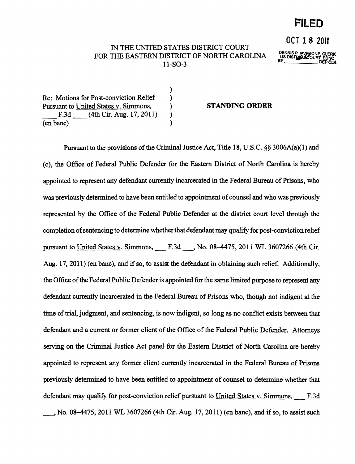## **FILED**

OCT **18** <sup>2011</sup>

## IN THE UNITED STATES DISTRICT COURT FOR THE EASTERN DISTRICT OF NORTH CAROLINA DENSITY US DISTRICTED AT A DENOTE CLERK FORCE.  $11-SO-3$

)

Re: Motions for Post-conviction Relief ) Pursuant to United States v. Simmons. (a) STANDING ORDER F.3d (4th Cir. Aug. 17, 2011) ) (en banc) )

Pursuant to the provisions of the Criminal Justice Act, Title 18, U.S.C.  $\S$ § 3006A(a)(1) and (c), the Office of Federal Public Defender for the Eastern District of North Carolina is hereby appointed to represent any defendant currently incarcerated in the Federal Bureau of Prisons, who was previously determined to have been entitled to appointment of counsel and who was previously represented by the Office of the Federal Public Defender at the district court level through the completion of sentencing to determine whether that defendant may qualify for post-conviction relief pursuant to United States v. Simmons, F.3d , No. 08-4475, 2011 WL 3607266 (4th Cir. Aug. 17,2011) (en banc), and if so, to assist the defendant in obtaining such relief. Additionally, the Office ofthe Federal Public Defender is appointed for the same limited purpose to represent any defendant currently incarcerated in the Federal Bureau of Prisons who, though not indigent at the time of trial, judgment, and sentencing, is now indigent, so long as no conflict exists between that defendant and a current or former client of the Office of the Federal Public Defender. Attorneys serving on the Criminal Justice Act panel for the Eastern District of North Carolina are hereby appointed to represent any former client currently incarcerated in the Federal Bureau of Prisons previously determined to have been entitled to appointment of counsel to determine whether that defendant may qualify for post-conviction relief pursuant to United States v. Simmons, F.3d  $\ldots$ , No. 08-4475, 2011 WL 3607266 (4th Cir. Aug. 17, 2011) (en banc), and if so, to assist such